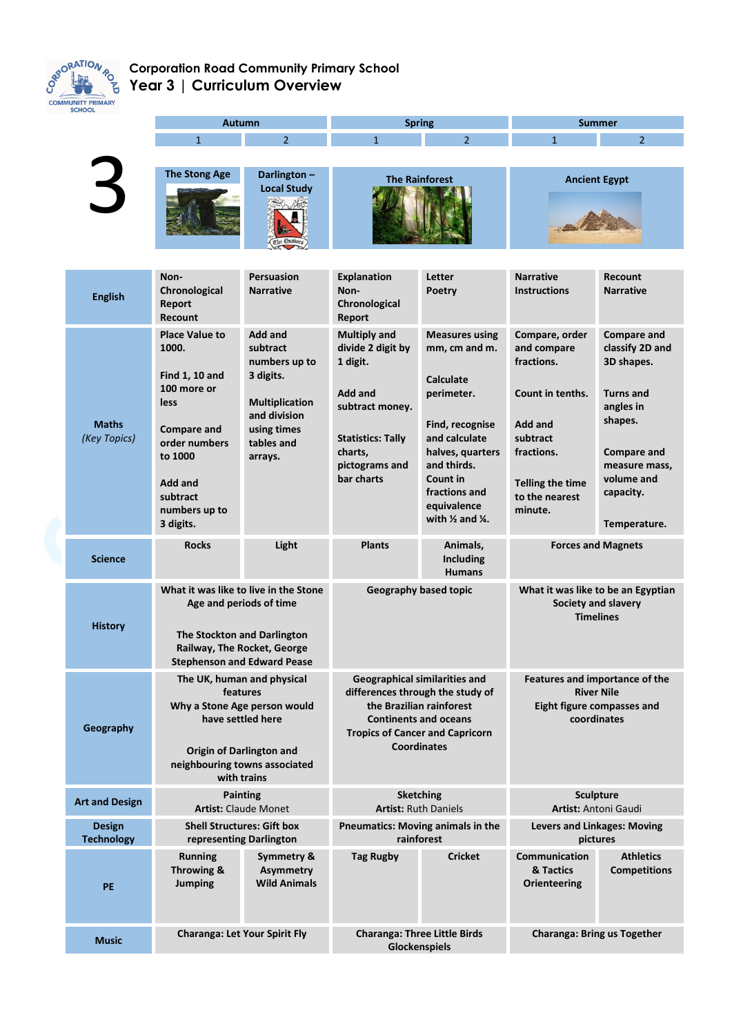

## **Corporation Road Community Primary School Year 3 | Curriculum Overview**

| SCHUUL                             | <b>Autumn</b>                                                                                                                                                                         |                                                                                                                                           | <b>Spring</b>                                                                                                                                                                                        |                                                                                                                                                                                                                                | <b>Summer</b>                                                                                                                                                |                                                                                                                                                                                   |
|------------------------------------|---------------------------------------------------------------------------------------------------------------------------------------------------------------------------------------|-------------------------------------------------------------------------------------------------------------------------------------------|------------------------------------------------------------------------------------------------------------------------------------------------------------------------------------------------------|--------------------------------------------------------------------------------------------------------------------------------------------------------------------------------------------------------------------------------|--------------------------------------------------------------------------------------------------------------------------------------------------------------|-----------------------------------------------------------------------------------------------------------------------------------------------------------------------------------|
|                                    | $\mathbf{1}$                                                                                                                                                                          | $\overline{2}$                                                                                                                            | $\mathbf{1}$                                                                                                                                                                                         | $\overline{2}$                                                                                                                                                                                                                 | $\mathbf{1}$                                                                                                                                                 | $\overline{2}$                                                                                                                                                                    |
|                                    | <b>The Stong Age</b>                                                                                                                                                                  | Darlington-<br><b>Local Study</b>                                                                                                         | <b>The Rainforest</b>                                                                                                                                                                                |                                                                                                                                                                                                                                | <b>Ancient Egypt</b>                                                                                                                                         |                                                                                                                                                                                   |
| <b>English</b>                     | Non-<br>Chronological<br>Report<br><b>Recount</b>                                                                                                                                     | <b>Persuasion</b><br><b>Narrative</b>                                                                                                     | <b>Explanation</b><br>Non-<br>Chronological<br>Report                                                                                                                                                | Letter<br>Poetry                                                                                                                                                                                                               | <b>Narrative</b><br><b>Instructions</b>                                                                                                                      | Recount<br><b>Narrative</b>                                                                                                                                                       |
| <b>Maths</b><br>(Key Topics)       | <b>Place Value to</b><br>1000.<br><b>Find 1, 10 and</b><br>100 more or<br>less<br><b>Compare and</b><br>order numbers<br>to 1000<br>Add and<br>subtract<br>numbers up to<br>3 digits. | <b>Add and</b><br>subtract<br>numbers up to<br>3 digits.<br><b>Multiplication</b><br>and division<br>using times<br>tables and<br>arrays. | <b>Multiply and</b><br>divide 2 digit by<br>1 digit.<br><b>Add and</b><br>subtract money.<br><b>Statistics: Tally</b><br>charts,<br>pictograms and<br>bar charts                                     | <b>Measures using</b><br>mm, cm and m.<br>Calculate<br>perimeter.<br>Find, recognise<br>and calculate<br>halves, quarters<br>and thirds.<br>Count in<br>fractions and<br>equivalence<br>with $\frac{1}{2}$ and $\frac{1}{4}$ . | Compare, order<br>and compare<br>fractions.<br>Count in tenths.<br>Add and<br>subtract<br>fractions.<br><b>Telling the time</b><br>to the nearest<br>minute. | <b>Compare and</b><br>classify 2D and<br>3D shapes.<br><b>Turns and</b><br>angles in<br>shapes.<br><b>Compare and</b><br>measure mass,<br>volume and<br>capacity.<br>Temperature. |
| <b>Science</b>                     | <b>Rocks</b>                                                                                                                                                                          | Light                                                                                                                                     | <b>Plants</b>                                                                                                                                                                                        | Animals,<br><b>Including</b><br><b>Humans</b>                                                                                                                                                                                  | <b>Forces and Magnets</b>                                                                                                                                    |                                                                                                                                                                                   |
| <b>History</b>                     | What it was like to live in the Stone<br>Age and periods of time<br>The Stockton and Darlington<br>Railway, The Rocket, George<br><b>Stephenson and Edward Pease</b>                  |                                                                                                                                           | Geography based topic                                                                                                                                                                                |                                                                                                                                                                                                                                | What it was like to be an Egyptian<br>Society and slavery<br><b>Timelines</b>                                                                                |                                                                                                                                                                                   |
| Geography                          | The UK, human and physical<br>features<br>Why a Stone Age person would<br>have settled here<br><b>Origin of Darlington and</b><br>neighbouring towns associated<br>with trains        |                                                                                                                                           | <b>Geographical similarities and</b><br>differences through the study of<br>the Brazilian rainforest<br><b>Continents and oceans</b><br><b>Tropics of Cancer and Capricorn</b><br><b>Coordinates</b> |                                                                                                                                                                                                                                | Features and importance of the<br><b>River Nile</b><br>Eight figure compasses and<br>coordinates                                                             |                                                                                                                                                                                   |
| <b>Art and Design</b>              | <b>Painting</b><br><b>Artist: Claude Monet</b>                                                                                                                                        |                                                                                                                                           | <b>Sketching</b><br><b>Artist: Ruth Daniels</b>                                                                                                                                                      |                                                                                                                                                                                                                                | <b>Sculpture</b><br>Artist: Antoni Gaudi                                                                                                                     |                                                                                                                                                                                   |
| <b>Design</b><br><b>Technology</b> | <b>Shell Structures: Gift box</b><br>representing Darlington                                                                                                                          |                                                                                                                                           | Pneumatics: Moving animals in the<br>rainforest                                                                                                                                                      |                                                                                                                                                                                                                                | <b>Levers and Linkages: Moving</b><br>pictures                                                                                                               |                                                                                                                                                                                   |
| PE                                 | <b>Running</b><br>Throwing &<br><b>Jumping</b>                                                                                                                                        | Symmetry &<br><b>Asymmetry</b><br><b>Wild Animals</b>                                                                                     | <b>Tag Rugby</b>                                                                                                                                                                                     | <b>Cricket</b>                                                                                                                                                                                                                 | Communication<br>& Tactics<br><b>Orienteering</b>                                                                                                            | <b>Athletics</b><br><b>Competitions</b>                                                                                                                                           |
| <b>Music</b>                       | <b>Charanga: Let Your Spirit Fly</b>                                                                                                                                                  |                                                                                                                                           | <b>Charanga: Three Little Birds</b><br>Glockenspiels                                                                                                                                                 |                                                                                                                                                                                                                                | <b>Charanga: Bring us Together</b>                                                                                                                           |                                                                                                                                                                                   |